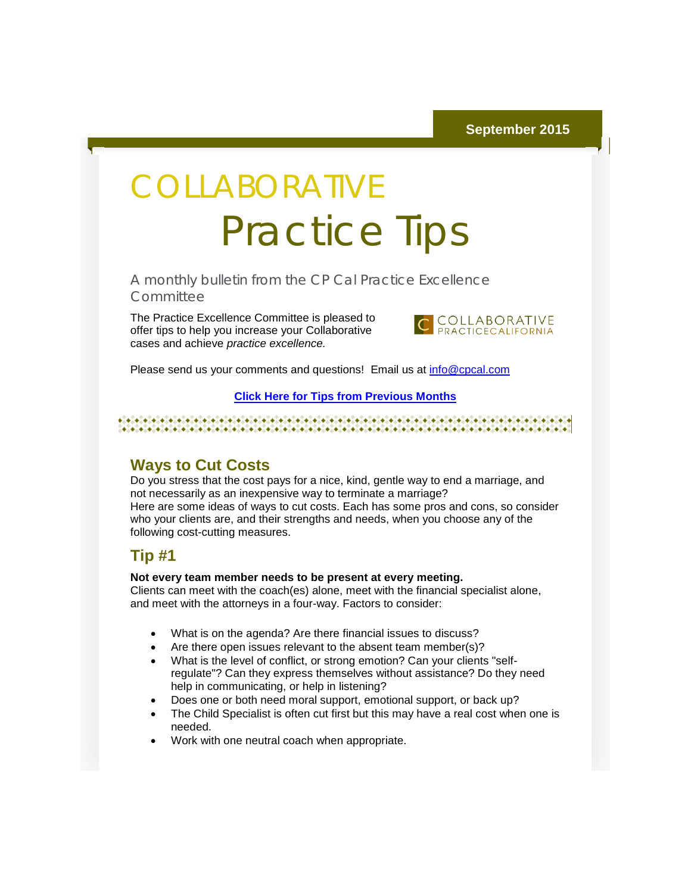# **COLLABORATIVE** Practice Tips

A monthly bulletin from the CP Cal Practice Excellence **Committee** 

The Practice Excellence Committee is pleased to offer tips to help you increase your Collaborative cases and achieve *practice excellence.*



Please send us your comments and questions! Email us at [info@cpcal.com](mailto:info@cpcal.com)

#### **[Click Here for Tips from Previous Months](http://r20.rs6.net/tn.jsp?f=001GsmdVZBkkuqIQ-SfkbG0mqksDP1RHDfeoR386v3WdOtZ5H6MJxlJLG8A-Ftvqaz6F98AH44bKADP7QTCWg31vb6WUwhrflhMyhwTOyLsfaRTqPPIKK5M3hAcsCg1ZTwB50GKCyPUWW1-c6PSkTkVew-e-h5jUNYezXOWNgXs6LnCznS8C65uHujEO1q56nHPOF2XmtimG6aDbi2eNQ9bB0uuHCABtzh4MzK_cWBT7t7ZXIWncGO6bQ==&c=&ch=)**

#### **Ways to Cut Costs**

Do you stress that the cost pays for a nice, kind, gentle way to end a marriage, and not necessarily as an inexpensive way to terminate a marriage? Here are some ideas of ways to cut costs. Each has some pros and cons, so consider who your clients are, and their strengths and needs, when you choose any of the following cost-cutting measures.

#### **Tip #1**

#### **Not every team member needs to be present at every meeting.**

Clients can meet with the coach(es) alone, meet with the financial specialist alone, and meet with the attorneys in a four-way. Factors to consider:

- What is on the agenda? Are there financial issues to discuss?
- Are there open issues relevant to the absent team member(s)?
- What is the level of conflict, or strong emotion? Can your clients "selfregulate"? Can they express themselves without assistance? Do they need help in communicating, or help in listening?
- Does one or both need moral support, emotional support, or back up?
- The Child Specialist is often cut first but this may have a real cost when one is needed.
- Work with one neutral coach when appropriate.